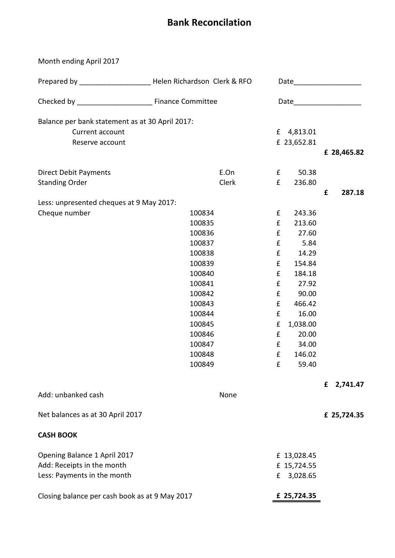## **Bank Reconcilation**

Month ending April 2017 Current account **E** 4,813.01 Reserve account **E** 23,652.81 **£ 28,465.82** Direct Debit Payments **E.On** E.On **E.** 50.38 Standing Order **Example 236.80 £ 287.18** Cheque number 100834 f 243.36 100835 £ 213.60 100836 £ 27.60 100837 £ 5.84 100838 £ 14.29 100839 £ 154.84 100840 £ 184.18 100841 £ 27.92 100842 £ 90.00 100843 £ 466.42 100844 £ 16.00 100845 £ 1,038.00 100846 £ 20.00 100847 £ 34.00 100848 £ 146.02 100849 £ 59.40 **£ 2,741.47** Add: unbanked cash None **£ 25,724.35 CASH BOOK** £ 13,028.45 £ 15,724.55 £ 3,028.65 Closing balance per cash book as at 9 May 2017 **£ 25,724.35** Net balances as at 30 April 2017 Opening Balance 1 April 2017 Add: Receipts in the month Less: Payments in the month Prepared by \_\_\_\_\_\_\_\_\_\_\_\_\_\_\_\_\_\_\_\_\_\_\_\_\_\_Helen Richardson Clerk & RFO Date\_\_\_\_\_\_\_\_\_\_\_\_\_\_\_\_\_\_\_\_\_\_\_\_\_\_\_\_\_ Checked by Theorem Committee Committee Date Balance per bank statement as at 30 April 2017: Less: unpresented cheques at 9 May 2017: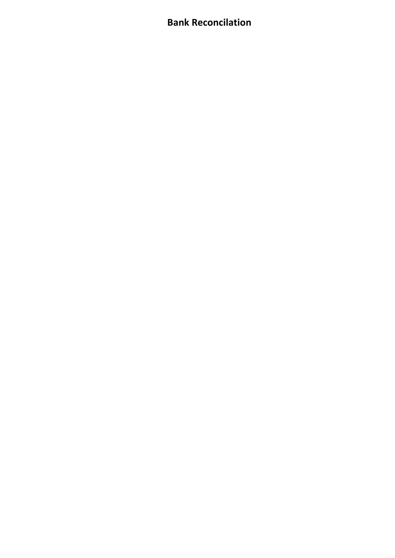## **Bank Reconcilation**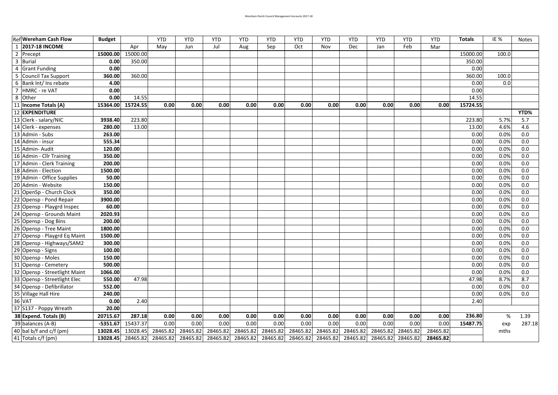| <b>Ref Wereham Cash Flow</b>            | <b>Budget</b> |          | <b>YTD</b> | <b>YTD</b> | <b>YTD</b> | YTD      | <b>YTD</b> | <b>YTD</b> | <b>YTD</b> | <b>YTD</b> | <b>YTD</b> | <b>YTD</b> | <b>YTD</b> | <b>Totals</b> | <b>IE %</b> | <b>Notes</b> |
|-----------------------------------------|---------------|----------|------------|------------|------------|----------|------------|------------|------------|------------|------------|------------|------------|---------------|-------------|--------------|
| <b>2017-18 INCOME</b><br>$\overline{1}$ |               | Apr      | May        | Jun        | Jul        | Aug      | Sep        | Oct        | Nov        | Dec        | Jan        | Feb        | Mar        |               |             |              |
| $\overline{2}$<br>Precept               | 15000.00      | 15000.00 |            |            |            |          |            |            |            |            |            |            |            | 15000.00      | 100.0       |              |
| $\overline{3}$<br><b>Burial</b>         | 0.00          | 350.00   |            |            |            |          |            |            |            |            |            |            |            | 350.00        |             |              |
| $\overline{4}$<br><b>Grant Funding</b>  | 0.00          |          |            |            |            |          |            |            |            |            |            |            |            | 0.00          |             |              |
| 5<br><b>Council Tax Support</b>         | 360.00        | 360.00   |            |            |            |          |            |            |            |            |            |            |            | 360.00        | 100.0       |              |
| Bank Int/ Ins rebate<br>6               | 4.00          |          |            |            |            |          |            |            |            |            |            |            |            | 0.00          | 0.0         |              |
| $\overline{7}$<br>HMRC - re VAT         | 0.00          |          |            |            |            |          |            |            |            |            |            |            |            | 0.00          |             |              |
| 8<br>Other                              | 0.00          | 14.55    |            |            |            |          |            |            |            |            |            |            |            | 14.55         |             |              |
| 11 Income Totals (A)                    | 15364.00      | 15724.55 | 0.00       | 0.00       | 0.00       | 0.00     | 0.00       | 0.00       | 0.00       | 0.00       | 0.00       | 0.00       | 0.00       | 15724.55      |             |              |
| 12 EXPENDITURE                          |               |          |            |            |            |          |            |            |            |            |            |            |            |               |             | YTD%         |
| 13 Clerk - salary/NIC                   | 3938.40       | 223.80   |            |            |            |          |            |            |            |            |            |            |            | 223.80        | 5.7%        | 5.7          |
| 14 Clerk - expenses                     | 280.00        | 13.00    |            |            |            |          |            |            |            |            |            |            |            | 13.00         | 4.6%        | 4.6          |
| 13 Admin - Subs                         | 263.00        |          |            |            |            |          |            |            |            |            |            |            |            | 0.00          | 0.0%        | 0.0          |
| 14 Admin - insur                        | 555.34        |          |            |            |            |          |            |            |            |            |            |            |            | 0.00          | 0.0%        | 0.0          |
| 15 Admin- Audit                         | 120.00        |          |            |            |            |          |            |            |            |            |            |            |            | 0.00          | 0.0%        | 0.0          |
| 16 Admin - Cllr Training                | 350.00        |          |            |            |            |          |            |            |            |            |            |            |            | 0.00          | 0.0%        | 0.0          |
| 17 Admin - Clerk Training               | 200.00        |          |            |            |            |          |            |            |            |            |            |            |            | 0.00          | 0.0%        | 0.0          |
| 18 Admin - Election                     | 1500.00       |          |            |            |            |          |            |            |            |            |            |            |            | 0.00          | 0.0%        | 0.0          |
| 19 Admin - Office Supplies              | 50.00         |          |            |            |            |          |            |            |            |            |            |            |            | 0.00          | 0.0%        | 0.0          |
| 20 Admin - Website                      | 150.00        |          |            |            |            |          |            |            |            |            |            |            |            | 0.00          | 0.0%        | 0.0          |
| 21<br>OpenSp - Church Clock             | 350.00        |          |            |            |            |          |            |            |            |            |            |            |            | 0.00          | 0.0%        | 0.0          |
| 22 Opensp - Pond Repair                 | 3900.00       |          |            |            |            |          |            |            |            |            |            |            |            | 0.00          | 0.0%        | 0.0          |
| 23 Opensp - Playgrd Inspec              | 60.00         |          |            |            |            |          |            |            |            |            |            |            |            | 0.00          | 0.0%        | 0.0          |
| 24<br>Opensp - Grounds Maint            | 2020.93       |          |            |            |            |          |            |            |            |            |            |            |            | 0.00          | 0.0%        | 0.0          |
| 25 Opensp - Dog Bins                    | 200.00        |          |            |            |            |          |            |            |            |            |            |            |            | 0.00          | 0.0%        | 0.0          |
| 26 Opensp - Tree Maint                  | 1800.00       |          |            |            |            |          |            |            |            |            |            |            |            | 0.00          | 0.0%        | 0.0          |
| 27 Opensp - Playgrd Eq Maint            | 1500.00       |          |            |            |            |          |            |            |            |            |            |            |            | 0.00          | 0.0%        | 0.0          |
| 28 Opensp - Highways/SAM2               | 300.00        |          |            |            |            |          |            |            |            |            |            |            |            | 0.00          | 0.0%        | 0.0          |
| 29<br>Opensp - Signs                    | 100.00        |          |            |            |            |          |            |            |            |            |            |            |            | 0.00          | 0.0%        | 0.0          |
| 30 Opensp - Moles                       | 150.00        |          |            |            |            |          |            |            |            |            |            |            |            | 0.00          | 0.0%        | 0.0          |
| 31 Opensp - Cemetery                    | 500.00        |          |            |            |            |          |            |            |            |            |            |            |            | 0.00          | 0.0%        | 0.0          |
| 32 Opensp - Streetlight Maint           | 1066.00       |          |            |            |            |          |            |            |            |            |            |            |            | 0.00          | 0.0%        | 0.0          |
| 33 Opensp - Streetlight Elec            | 550.00        | 47.98    |            |            |            |          |            |            |            |            |            |            |            | 47.98         | 8.7%        | 8.7          |
| 34 Opensp - Defibrillator               | 552.00        |          |            |            |            |          |            |            |            |            |            |            |            | 0.00          | 0.0%        | 0.0          |
| 35 Village Hall Hire                    | 240.00        |          |            |            |            |          |            |            |            |            |            |            |            | 0.00          | 0.0%        | 0.0          |
| 36 VAT                                  | 0.00          | 2.40     |            |            |            |          |            |            |            |            |            |            |            | 2.40          |             |              |
| 37 S137 - Poppy Wreath                  | 20.00         |          |            |            |            |          |            |            |            |            |            |            |            |               |             |              |
| 38 Expend. Totals (B)                   | 20715.67      | 287.18   | 0.00       | 0.00       | 0.00       | 0.00     | 0.00       | 0.00       | 0.00       | $0.00\,$   | 0.00       | 0.00       | 0.00       | 236.80        | $\%$        | 1.39         |
| 39 balances (A-B)                       | $-5351.67$    | 15437.37 | 0.00       | 0.00       | 0.00       | 0.00     | 0.00       | 0.00       | 0.00       | 0.00       | 0.00       | 0.00       | 0.00       | 15487.75      | exp         | 287.18       |
| 40 bal b/f and c/f (pm)                 | 13028.45      | 13028.45 | 28465.82   | 28465.82   | 28465.82   | 28465.82 | 28465.82   | 28465.82   | 28465.82   | 28465.82   | 28465.82   | 28465.82   | 28465.82   |               | mths        |              |
| 41 Totals c/f (pm)                      | 13028.45      | 28465.82 | 28465.82   | 28465.82   | 28465.82   | 28465.82 | 28465.82   | 28465.82   | 28465.82   | 28465.82   | 28465.82   | 28465.82   | 28465.82   |               |             |              |